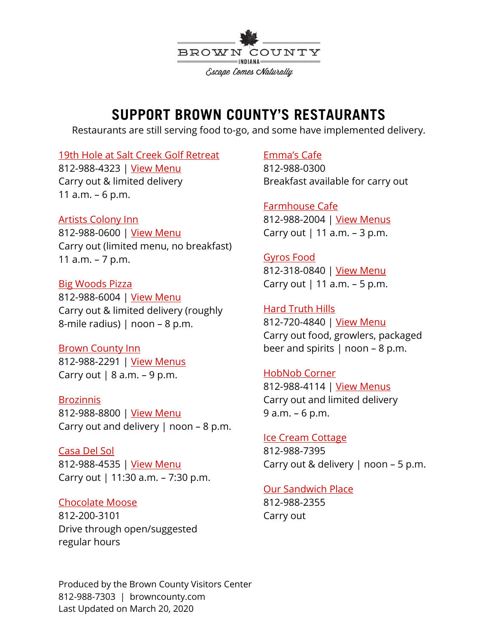

# **SUPPORT BROWN COUNTY'S RESTAURANTS**

Restaurants are still serving food to-go, and some have implemented delivery.

## [19th Hole at Salt Creek Golf Retreat](https://www.browncounty.com/listings/19th-hole-sports-bar/)

812-988-4323 | [View Menu](https://www.saltcreekgolf.com/images/SKM_C224e19041915150.pdf?fbclid=IwAR3DZrwiKJTWLTJJhtBhWofbi4xuSVUh1OogXdN0tf1VSyiHndiG5NRMUSE) Carry out & limited delivery 11 a.m. – 6 p.m.

## [Artists Colony Inn](https://www.browncounty.com/listings/artists-colony-restaurant/)

812-988-0600 | [View Menu](https://19aznq47tjgc24ewn3215ef2-wpengine.netdna-ssl.com/wp-content/uploads/2020/03/ACI-Limited-menu.pdf) Carry out (limited menu, no breakfast) 11 a.m. – 7 p.m.

[Big Woods Pizza](https://www.browncounty.com/listings/big-woods-pizza-company/) 812-988-6004 | [View Menu](https://www.browncounty.com/listings/big-woods-pizza-company/) Carry out & limited delivery (roughly 8-mile radius) | noon – 8 p.m.

[Brown County Inn](https://www.browncounty.com/listings/harvest-dining-room-at-brown-county-inn/) 812-988-2291 | [View Menus](https://www.browncountyinn.com/dining-drink/) Carry out  $| 8$  a.m.  $-9$  p.m.

## **[Brozinnis](https://www.browncounty.com/listings/brozinni-pizzeria/)**

812-988-8800 | [View Menu](http://www.brozinnis.com/appitizers/) Carry out and delivery  $|$  noon – 8 p.m.

[Casa Del Sol](https://www.browncounty.com/listings/casa-del-sol/) 812-988-4535 | [View Menu](http://casadelsolnashville.com/menu.html) Carry out | 11:30 a.m. – 7:30 p.m.

## [Chocolate Moose](https://www.browncounty.com/listings/chocolate-moose/)

812-200-3101 Drive through open/suggested regular hours

# [Emma's Cafe](https://www.browncounty.com/listings/emmas-cafe/)

812-988-0300 Breakfast available for carry out

[Farmhouse Cafe](https://www.browncounty.com/listings/farmhouse-cafe-tea-room/) 812-988-2004 | [View Menus](http://www.farmhousecafeandtearoom.com/lunch.html) Carry out  $|11$  a.m.  $-3$  p.m.

[Gyros Food](https://www.browncounty.com/listings/gyros-food/) 812-318-0840 | [View Menu](http://gyrofoodnashville.com/menu/3506152) Carry out  $|11$  a.m.  $-5$  p.m.

[Hard Truth Hills](https://www.browncounty.com/listings/big-woods-at-hard-truth-hills/) 812-720-4840 | [View Menu](http://www.bigwoodsrestaurants.com/wp-content/uploads/2020/03/BWHTH-2020-reduced.pdf) Carry out food, growlers, packaged beer and spirits  $|$  noon – 8 p.m.

# [HobNob Corner](https://www.browncounty.com/listings/hobnob-corner-restaurant/)

812-988-4114 | [View Menus](https://19aznq47tjgc24ewn3215ef2-wpengine.netdna-ssl.com/wp-content/uploads/2020/03/HobNob-Limited-Menu.pdf) Carry out and limited delivery 9 a.m. – 6 p.m.

## [Ice Cream Cottage](https://www.browncounty.com/listings/ice-cream-cottage/)

812-988-7395 Carry out & delivery  $|$  noon – 5 p.m.

## [Our Sandwich Place](https://www.browncounty.com/listings/our-sandwich-place/)

812-988-2355 Carry out

Produced by the Brown County Visitors Center 812-988-7303 | browncounty.com Last Updated on March 20, 2020